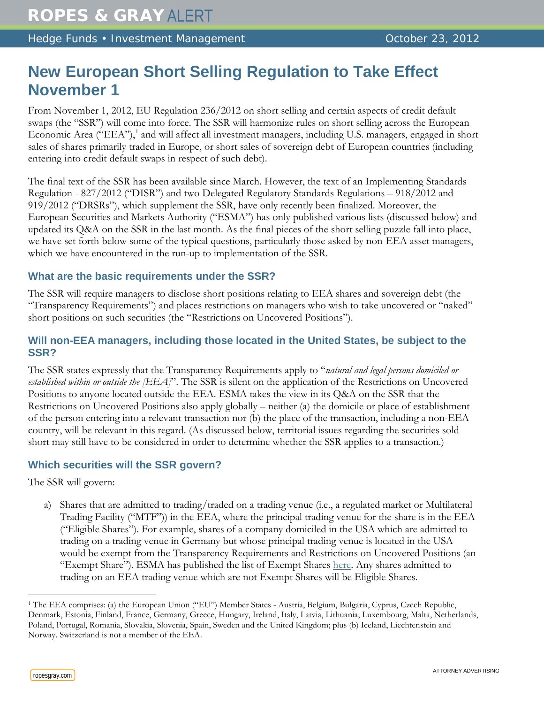Hedge Funds • Investment Management **Access 1986** October 23, 2012

# **New European Short Selling Regulation to Take Effect November 1**

From November 1, 2012, EU Regulation 236/2012 on short selling and certain aspects of credit default swaps (the "SSR") will come into force. The SSR will harmonize rules on short selling across the European Economic Area ("EEA"),<sup>[1](#page-0-0)</sup> and will affect all investment managers, including U.S. managers, engaged in short sales of shares primarily traded in Europe, or short sales of sovereign debt of European countries (including entering into credit default swaps in respect of such debt).

The final text of the SSR has been available since March. However, the text of an Implementing Standards Regulation - 827/2012 ("DISR") and two Delegated Regulatory Standards Regulations – 918/2012 and 919/2012 ("DRSRs"), which supplement the SSR, have only recently been finalized. Moreover, the European Securities and Markets Authority ("ESMA") has only published various lists (discussed below) and updated its Q&A on the SSR in the last month. As the final pieces of the short selling puzzle fall into place, we have set forth below some of the typical questions, particularly those asked by non-EEA asset managers, which we have encountered in the run-up to implementation of the SSR.

## **What are the basic requirements under the SSR?**

The SSR will require managers to disclose short positions relating to EEA shares and sovereign debt (the "Transparency Requirements") and places restrictions on managers who wish to take uncovered or "naked" short positions on such securities (the "Restrictions on Uncovered Positions").

# **Will non-EEA managers, including those located in the United States, be subject to the SSR?**

The SSR states expressly that the Transparency Requirements apply to "*natural and legal persons domiciled or established within or outside the [EEA]*". The SSR is silent on the application of the Restrictions on Uncovered Positions to anyone located outside the EEA. ESMA takes the view in its Q&A on the SSR that the Restrictions on Uncovered Positions also apply globally – neither (a) the domicile or place of establishment of the person entering into a relevant transaction nor (b) the place of the transaction, including a non-EEA country, will be relevant in this regard. (As discussed below, territorial issues regarding the securities sold short may still have to be considered in order to determine whether the SSR applies to a transaction.)

# **Which securities will the SSR govern?**

The SSR will govern:

a) Shares that are admitted to trading/traded on a trading venue (i.e., a regulated market or Multilateral Trading Facility ("MTF")) in the EEA, where the principal trading venue for the share is in the EEA ("Eligible Shares"). For example, shares of a company domiciled in the USA which are admitted to trading on a trading venue in Germany but whose principal trading venue is located in the USA would be exempt from the Transparency Requirements and Restrictions on Uncovered Positions (an "Exempt Share"). ESMA has published the list of Exempt Shares [here.](http://www.esma.europa.eu/page/List-exempted-shares) Any shares admitted to trading on an EEA trading venue which are not Exempt Shares will be Eligible Shares.

 $\overline{a}$ 

<span id="page-0-0"></span><sup>1</sup> The EEA comprises: (a) the European Union ("EU") Member States - Austria, Belgium, Bulgaria, Cyprus, Czech Republic, Denmark, Estonia, Finland, France, Germany, Greece, Hungary, Ireland, Italy, Latvia, Lithuania, Luxembourg, Malta, Netherlands, Poland, Portugal, Romania, Slovakia, Slovenia, Spain, Sweden and the United Kingdom; plus (b) Iceland, Liechtenstein and Norway. Switzerland is not a member of the EEA.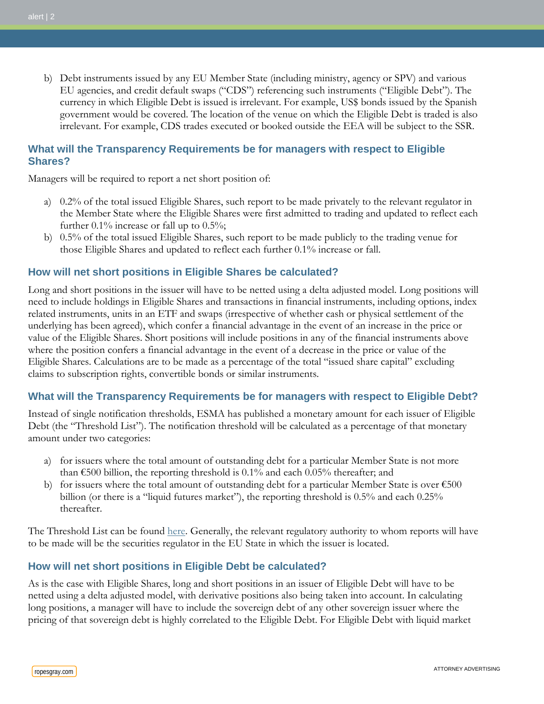b) Debt instruments issued by any EU Member State (including ministry, agency or SPV) and various EU agencies, and credit default swaps ("CDS") referencing such instruments ("Eligible Debt"). The currency in which Eligible Debt is issued is irrelevant. For example, US\$ bonds issued by the Spanish government would be covered. The location of the venue on which the Eligible Debt is traded is also irrelevant. For example, CDS trades executed or booked outside the EEA will be subject to the SSR.

## **What will the Transparency Requirements be for managers with respect to Eligible Shares?**

Managers will be required to report a net short position of:

- a) 0.2% of the total issued Eligible Shares, such report to be made privately to the relevant regulator in the Member State where the Eligible Shares were first admitted to trading and updated to reflect each further  $0.1\%$  increase or fall up to  $0.5\%$ ;
- b) 0.5% of the total issued Eligible Shares, such report to be made publicly to the trading venue for those Eligible Shares and updated to reflect each further 0.1% increase or fall.

# **How will net short positions in Eligible Shares be calculated?**

Long and short positions in the issuer will have to be netted using a delta adjusted model. Long positions will need to include holdings in Eligible Shares and transactions in financial instruments, including options, index related instruments, units in an ETF and swaps (irrespective of whether cash or physical settlement of the underlying has been agreed), which confer a financial advantage in the event of an increase in the price or value of the Eligible Shares. Short positions will include positions in any of the financial instruments above where the position confers a financial advantage in the event of a decrease in the price or value of the Eligible Shares. Calculations are to be made as a percentage of the total "issued share capital" excluding claims to subscription rights, convertible bonds or similar instruments.

## **What will the Transparency Requirements be for managers with respect to Eligible Debt?**

Instead of single notification thresholds, ESMA has published a monetary amount for each issuer of Eligible Debt (the "Threshold List"). The notification threshold will be calculated as a percentage of that monetary amount under two categories:

- a) for issuers where the total amount of outstanding debt for a particular Member State is not more than  $\epsilon$ 500 billion, the reporting threshold is 0.1% and each 0.05% thereafter; and
- b) for issuers where the total amount of outstanding debt for a particular Member State is over  $\epsilon$ 500 billion (or there is a "liquid futures market"), the reporting threshold is 0.5% and each 0.25% thereafter.

The Threshold List can be found [here.](http://www.esma.europa.eu/page/Net-short-position-notification-thresholds-sovereign-issuers) Generally, the relevant regulatory authority to whom reports will have to be made will be the securities regulator in the EU State in which the issuer is located.

# **How will net short positions in Eligible Debt be calculated?**

As is the case with Eligible Shares, long and short positions in an issuer of Eligible Debt will have to be netted using a delta adjusted model, with derivative positions also being taken into account. In calculating long positions, a manager will have to include the sovereign debt of any other sovereign issuer where the pricing of that sovereign debt is highly correlated to the Eligible Debt. For Eligible Debt with liquid market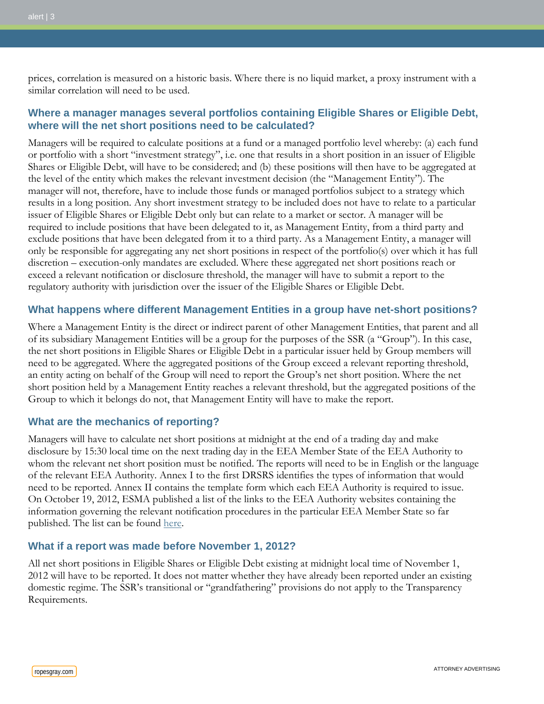prices, correlation is measured on a historic basis. Where there is no liquid market, a proxy instrument with a similar correlation will need to be used.

## **Where a manager manages several portfolios containing Eligible Shares or Eligible Debt, where will the net short positions need to be calculated?**

Managers will be required to calculate positions at a fund or a managed portfolio level whereby: (a) each fund or portfolio with a short "investment strategy", i.e. one that results in a short position in an issuer of Eligible Shares or Eligible Debt, will have to be considered; and (b) these positions will then have to be aggregated at the level of the entity which makes the relevant investment decision (the "Management Entity"). The manager will not, therefore, have to include those funds or managed portfolios subject to a strategy which results in a long position. Any short investment strategy to be included does not have to relate to a particular issuer of Eligible Shares or Eligible Debt only but can relate to a market or sector. A manager will be required to include positions that have been delegated to it, as Management Entity, from a third party and exclude positions that have been delegated from it to a third party. As a Management Entity, a manager will only be responsible for aggregating any net short positions in respect of the portfolio(s) over which it has full discretion – execution-only mandates are excluded. Where these aggregated net short positions reach or exceed a relevant notification or disclosure threshold, the manager will have to submit a report to the regulatory authority with jurisdiction over the issuer of the Eligible Shares or Eligible Debt.

#### **What happens where different Management Entities in a group have net-short positions?**

Where a Management Entity is the direct or indirect parent of other Management Entities, that parent and all of its subsidiary Management Entities will be a group for the purposes of the SSR (a "Group"). In this case, the net short positions in Eligible Shares or Eligible Debt in a particular issuer held by Group members will need to be aggregated. Where the aggregated positions of the Group exceed a relevant reporting threshold, an entity acting on behalf of the Group will need to report the Group's net short position. Where the net short position held by a Management Entity reaches a relevant threshold, but the aggregated positions of the Group to which it belongs do not, that Management Entity will have to make the report.

## **What are the mechanics of reporting?**

Managers will have to calculate net short positions at midnight at the end of a trading day and make disclosure by 15:30 local time on the next trading day in the EEA Member State of the EEA Authority to whom the relevant net short position must be notified. The reports will need to be in English or the language of the relevant EEA Authority. Annex I to the first DRSRS identifies the types of information that would need to be reported. Annex II contains the template form which each EEA Authority is required to issue. On October 19, 2012, ESMA published a list of the links to the EEA Authority websites containing the information governing the relevant notification procedures in the particular EEA Member State so far published. The list can be found [here.](http://www.esma.europa.eu/system/files/2012-680.pdf)

#### **What if a report was made before November 1, 2012?**

All net short positions in Eligible Shares or Eligible Debt existing at midnight local time of November 1, 2012 will have to be reported. It does not matter whether they have already been reported under an existing domestic regime. The SSR's transitional or "grandfathering" provisions do not apply to the Transparency Requirements.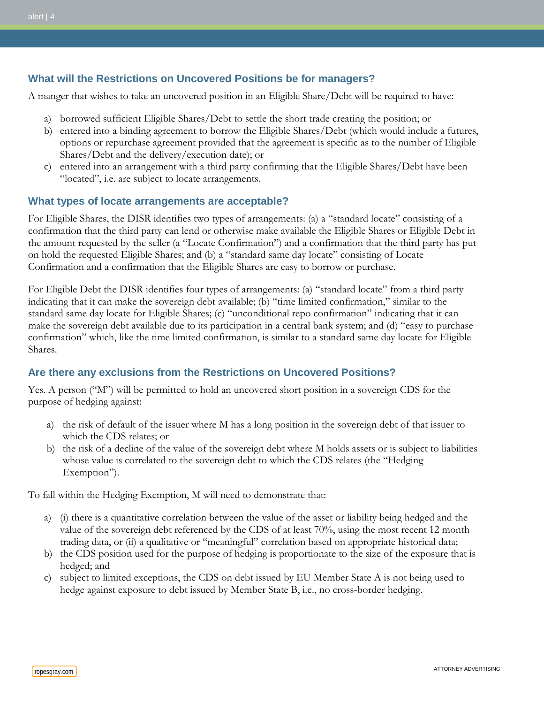## **What will the Restrictions on Uncovered Positions be for managers?**

A manger that wishes to take an uncovered position in an Eligible Share/Debt will be required to have:

- a) borrowed sufficient Eligible Shares/Debt to settle the short trade creating the position; or
- b) entered into a binding agreement to borrow the Eligible Shares/Debt (which would include a futures, options or repurchase agreement provided that the agreement is specific as to the number of Eligible Shares/Debt and the delivery/execution date); or
- c) entered into an arrangement with a third party confirming that the Eligible Shares/Debt have been "located", i.e. are subject to locate arrangements.

#### **What types of locate arrangements are acceptable?**

For Eligible Shares, the DISR identifies two types of arrangements: (a) a "standard locate" consisting of a confirmation that the third party can lend or otherwise make available the Eligible Shares or Eligible Debt in the amount requested by the seller (a "Locate Confirmation") and a confirmation that the third party has put on hold the requested Eligible Shares; and (b) a "standard same day locate" consisting of Locate Confirmation and a confirmation that the Eligible Shares are easy to borrow or purchase.

For Eligible Debt the DISR identifies four types of arrangements: (a) "standard locate" from a third party indicating that it can make the sovereign debt available; (b) "time limited confirmation," similar to the standard same day locate for Eligible Shares; (c) "unconditional repo confirmation" indicating that it can make the sovereign debt available due to its participation in a central bank system; and (d) "easy to purchase confirmation" which, like the time limited confirmation, is similar to a standard same day locate for Eligible Shares.

## **Are there any exclusions from the Restrictions on Uncovered Positions?**

Yes. A person ("M") will be permitted to hold an uncovered short position in a sovereign CDS for the purpose of hedging against:

- a) the risk of default of the issuer where M has a long position in the sovereign debt of that issuer to which the CDS relates; or
- b) the risk of a decline of the value of the sovereign debt where M holds assets or is subject to liabilities whose value is correlated to the sovereign debt to which the CDS relates (the "Hedging Exemption").

To fall within the Hedging Exemption, M will need to demonstrate that:

- a) (i) there is a quantitative correlation between the value of the asset or liability being hedged and the value of the sovereign debt referenced by the CDS of at least 70%, using the most recent 12 month trading data, or (ii) a qualitative or "meaningful" correlation based on appropriate historical data;
- b) the CDS position used for the purpose of hedging is proportionate to the size of the exposure that is hedged; and
- c) subject to limited exceptions, the CDS on debt issued by EU Member State A is not being used to hedge against exposure to debt issued by Member State B, i.e., no cross-border hedging.